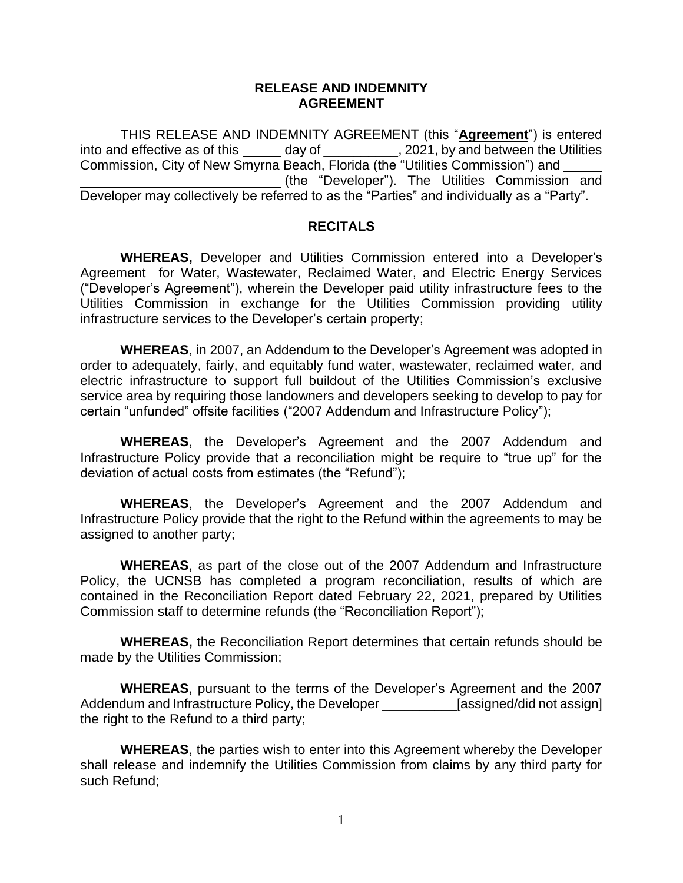## **RELEASE AND INDEMNITY AGREEMENT**

THIS RELEASE AND INDEMNITY AGREEMENT (this "**Agreement**") is entered into and effective as of this \_\_\_\_\_ day of \_\_\_\_\_\_\_\_\_, 2021, by and between the Utilities Commission, City of New Smyrna Beach, Florida (the "Utilities Commission") and (the "Developer"). The Utilities Commission and Developer may collectively be referred to as the "Parties" and individually as a "Party".

## **RECITALS**

**WHEREAS,** Developer and Utilities Commission entered into a Developer's Agreement for Water, Wastewater, Reclaimed Water, and Electric Energy Services ("Developer's Agreement"), wherein the Developer paid utility infrastructure fees to the Utilities Commission in exchange for the Utilities Commission providing utility infrastructure services to the Developer's certain property;

**WHEREAS**, in 2007, an Addendum to the Developer's Agreement was adopted in order to adequately, fairly, and equitably fund water, wastewater, reclaimed water, and electric infrastructure to support full buildout of the Utilities Commission's exclusive service area by requiring those landowners and developers seeking to develop to pay for certain "unfunded" offsite facilities ("2007 Addendum and Infrastructure Policy");

**WHEREAS**, the Developer's Agreement and the 2007 Addendum and Infrastructure Policy provide that a reconciliation might be require to "true up" for the deviation of actual costs from estimates (the "Refund");

**WHEREAS**, the Developer's Agreement and the 2007 Addendum and Infrastructure Policy provide that the right to the Refund within the agreements to may be assigned to another party;

**WHEREAS**, as part of the close out of the 2007 Addendum and Infrastructure Policy, the UCNSB has completed a program reconciliation, results of which are contained in the Reconciliation Report dated February 22, 2021, prepared by Utilities Commission staff to determine refunds (the "Reconciliation Report");

**WHEREAS,** the Reconciliation Report determines that certain refunds should be made by the Utilities Commission;

**WHEREAS**, pursuant to the terms of the Developer's Agreement and the 2007 Addendum and Infrastructure Policy, the Developer \_\_\_\_\_\_\_\_\_\_\_\_[assigned/did not assign] the right to the Refund to a third party;

**WHEREAS**, the parties wish to enter into this Agreement whereby the Developer shall release and indemnify the Utilities Commission from claims by any third party for such Refund;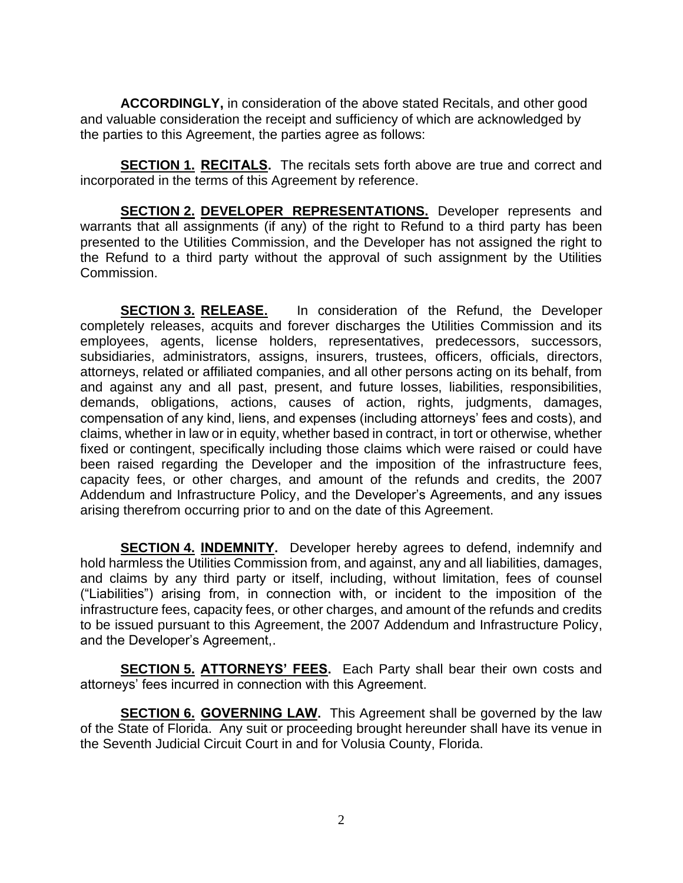**ACCORDINGLY,** in consideration of the above stated Recitals, and other good and valuable consideration the receipt and sufficiency of which are acknowledged by the parties to this Agreement, the parties agree as follows:

**SECTION 1. RECITALS.** The recitals sets forth above are true and correct and incorporated in the terms of this Agreement by reference.

**SECTION 2. DEVELOPER REPRESENTATIONS.** Developer represents and warrants that all assignments (if any) of the right to Refund to a third party has been presented to the Utilities Commission, and the Developer has not assigned the right to the Refund to a third party without the approval of such assignment by the Utilities Commission.

**SECTION 3. RELEASE.** In consideration of the Refund, the Developer completely releases, acquits and forever discharges the Utilities Commission and its employees, agents, license holders, representatives, predecessors, successors, subsidiaries, administrators, assigns, insurers, trustees, officers, officials, directors, attorneys, related or affiliated companies, and all other persons acting on its behalf, from and against any and all past, present, and future losses, liabilities, responsibilities, demands, obligations, actions, causes of action, rights, judgments, damages, compensation of any kind, liens, and expenses (including attorneys' fees and costs), and claims, whether in law or in equity, whether based in contract, in tort or otherwise, whether fixed or contingent, specifically including those claims which were raised or could have been raised regarding the Developer and the imposition of the infrastructure fees, capacity fees, or other charges, and amount of the refunds and credits, the 2007 Addendum and Infrastructure Policy, and the Developer's Agreements, and any issues arising therefrom occurring prior to and on the date of this Agreement.

**SECTION 4. INDEMNITY.** Developer hereby agrees to defend, indemnify and hold harmless the Utilities Commission from, and against, any and all liabilities, damages, and claims by any third party or itself, including, without limitation, fees of counsel ("Liabilities") arising from, in connection with, or incident to the imposition of the infrastructure fees, capacity fees, or other charges, and amount of the refunds and credits to be issued pursuant to this Agreement, the 2007 Addendum and Infrastructure Policy, and the Developer's Agreement,.

**SECTION 5. ATTORNEYS' FEES.** Each Party shall bear their own costs and attorneys' fees incurred in connection with this Agreement.

**SECTION 6. GOVERNING LAW.** This Agreement shall be governed by the law of the State of Florida. Any suit or proceeding brought hereunder shall have its venue in the Seventh Judicial Circuit Court in and for Volusia County, Florida.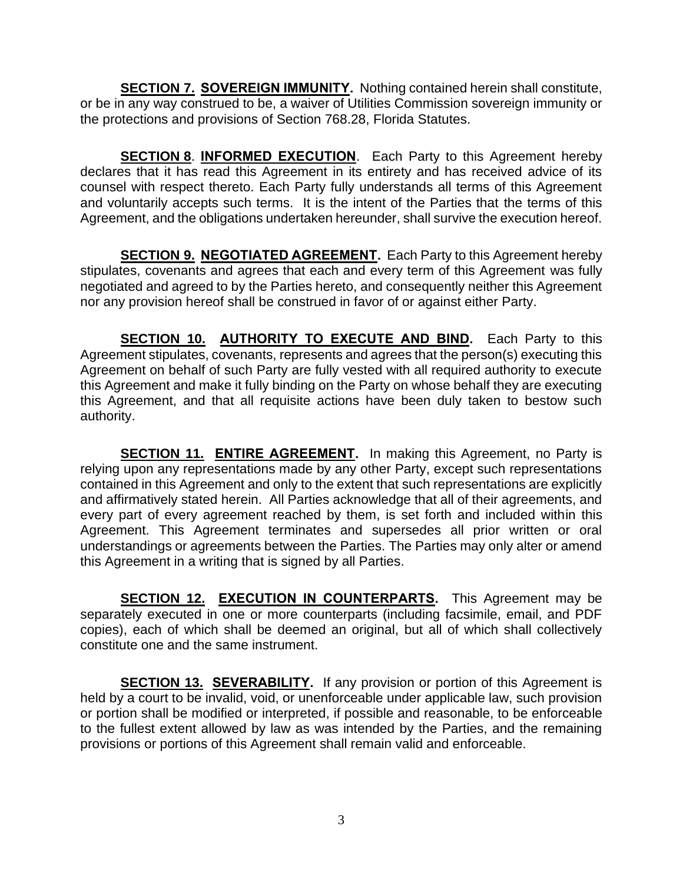**SECTION 7. SOVEREIGN IMMUNITY.** Nothing contained herein shall constitute, or be in any way construed to be, a waiver of Utilities Commission sovereign immunity or the protections and provisions of Section 768.28, Florida Statutes.

**SECTION 8**. **INFORMED EXECUTION**. Each Party to this Agreement hereby declares that it has read this Agreement in its entirety and has received advice of its counsel with respect thereto. Each Party fully understands all terms of this Agreement and voluntarily accepts such terms. It is the intent of the Parties that the terms of this Agreement, and the obligations undertaken hereunder, shall survive the execution hereof.

**SECTION 9. NEGOTIATED AGREEMENT.** Each Party to this Agreement hereby stipulates, covenants and agrees that each and every term of this Agreement was fully negotiated and agreed to by the Parties hereto, and consequently neither this Agreement nor any provision hereof shall be construed in favor of or against either Party.

**SECTION 10. AUTHORITY TO EXECUTE AND BIND.** Each Party to this Agreement stipulates, covenants, represents and agrees that the person(s) executing this Agreement on behalf of such Party are fully vested with all required authority to execute this Agreement and make it fully binding on the Party on whose behalf they are executing this Agreement, and that all requisite actions have been duly taken to bestow such authority.

**SECTION 11. ENTIRE AGREEMENT.** In making this Agreement, no Party is relying upon any representations made by any other Party, except such representations contained in this Agreement and only to the extent that such representations are explicitly and affirmatively stated herein. All Parties acknowledge that all of their agreements, and every part of every agreement reached by them, is set forth and included within this Agreement. This Agreement terminates and supersedes all prior written or oral understandings or agreements between the Parties. The Parties may only alter or amend this Agreement in a writing that is signed by all Parties.

**SECTION 12. EXECUTION IN COUNTERPARTS.** This Agreement may be separately executed in one or more counterparts (including facsimile, email, and PDF copies), each of which shall be deemed an original, but all of which shall collectively constitute one and the same instrument.

**SECTION 13. SEVERABILITY.** If any provision or portion of this Agreement is held by a court to be invalid, void, or unenforceable under applicable law, such provision or portion shall be modified or interpreted, if possible and reasonable, to be enforceable to the fullest extent allowed by law as was intended by the Parties, and the remaining provisions or portions of this Agreement shall remain valid and enforceable.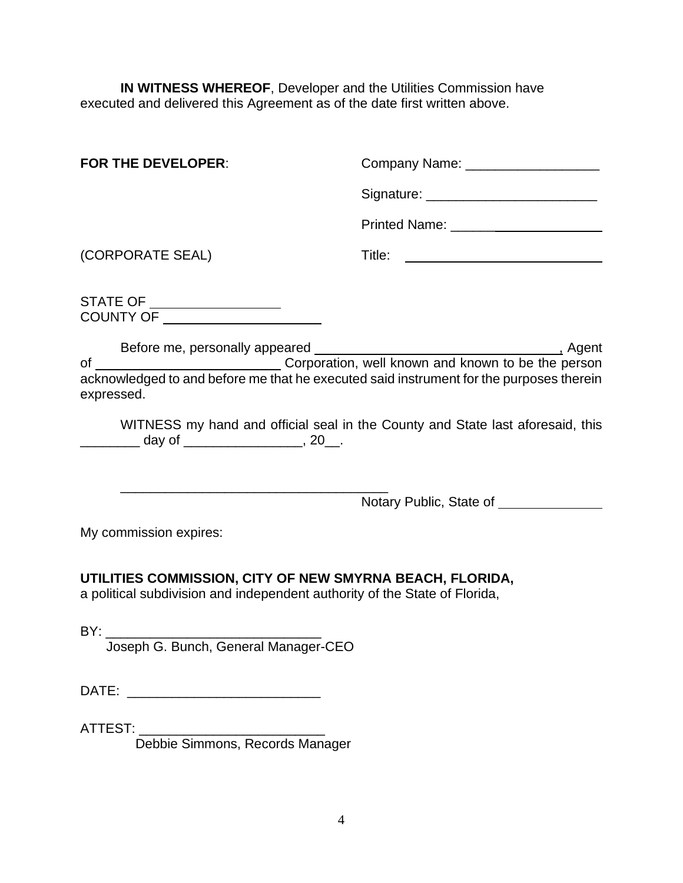**IN WITNESS WHEREOF, Developer and the Utilities Commission have** executed and delivered this Agreement as of the date first written above.

| <b>FOR THE DEVELOPER:</b> | Company Name:        |
|---------------------------|----------------------|
|                           | Signature:           |
|                           | <b>Printed Name:</b> |

(CORPORATE SEAL) Title:

STATE OF COUNTY OF

Before me, personally appeared , Agent of \_\_\_\_\_\_\_\_\_\_\_\_\_\_\_\_\_\_\_\_\_\_\_\_\_\_\_\_\_\_\_\_\_Corporation, well known and known to be the person acknowledged to and before me that he executed said instrument for the purposes therein expressed.

WITNESS my hand and official seal in the County and State last aforesaid, this \_\_\_\_\_\_\_\_ day of \_\_\_\_\_\_\_\_\_\_\_\_\_\_\_\_\_\_, 20\_\_.

\_\_\_\_\_\_\_\_\_\_\_\_\_\_\_\_\_\_\_\_\_\_\_\_\_\_\_\_\_\_\_\_\_\_\_\_ Notary Public, State of \_\_\_\_\_\_\_\_\_\_\_\_\_\_

My commission expires:

**UTILITIES COMMISSION, CITY OF NEW SMYRNA BEACH, FLORIDA,** a political subdivision and independent authority of the State of Florida,

BY: \_\_\_\_\_\_\_\_\_\_\_\_\_\_\_\_\_\_\_\_\_\_\_\_\_\_\_\_\_

Joseph G. Bunch, General Manager-CEO

DATE: \_\_\_\_\_\_\_\_\_\_\_\_\_\_\_\_\_\_\_\_\_\_\_\_\_\_

ATTEST:

Debbie Simmons, Records Manager